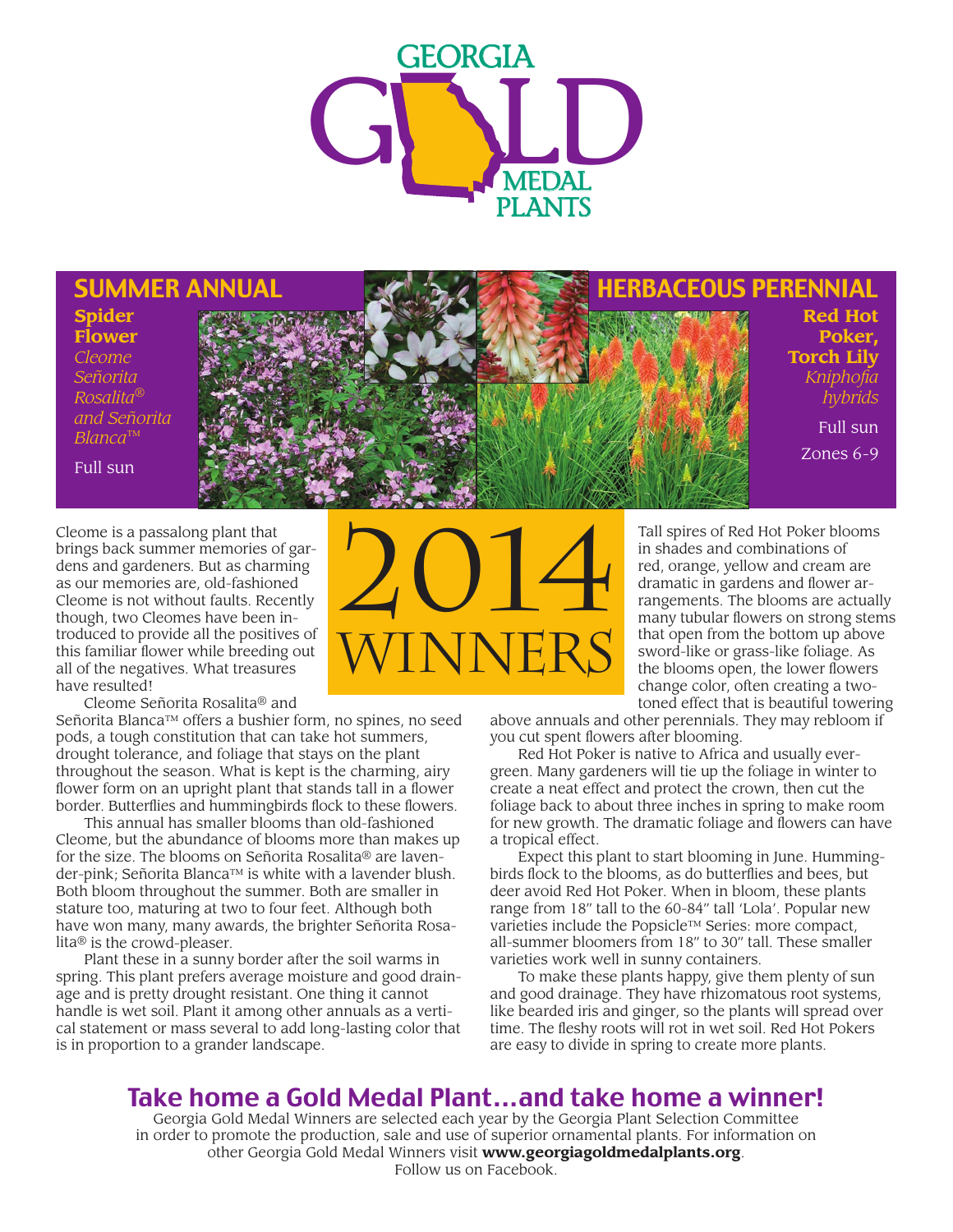

#### SUMMER ANNUAL HERBACEOUS PERENNIAL

**Spider Flower** *Cleome Señorita Rosalita*® *and Señorita Blanca*™

Full sun

Cleome is a passalong plant that brings back summer memories of gardens and gardeners. But as charming as our memories are, old-fashioned Cleome is not without faults. Recently though, two Cleomes have been introduced to provide all the positives of this familiar flower while breeding out all of the negatives. What treasures have resulted!

Cleome Señorita Rosalita® and

Señorita Blanca™ offers a bushier form, no spines, no seed pods, a tough constitution that can take hot summers, drought tolerance, and foliage that stays on the plant throughout the season. What is kept is the charming, airy flower form on an upright plant that stands tall in a flower border. Butterflies and hummingbirds flock to these flowers.

This annual has smaller blooms than old-fashioned Cleome, but the abundance of blooms more than makes up for the size. The blooms on Señorita Rosalita® are lavender-pink; Señorita Blanca™ is white with a lavender blush. Both bloom throughout the summer. Both are smaller in stature too, maturing at two to four feet. Although both have won many, many awards, the brighter Señorita Rosalita® is the crowd-pleaser.

Plant these in a sunny border after the soil warms in spring. This plant prefers average moisture and good drainage and is pretty drought resistant. One thing it cannot handle is wet soil. Plant it among other annuals as a vertical statement or mass several to add long-lasting color that is in proportion to a grander landscape.



**Red Hot Poker, Torch Lily**

> *Kniphofia hybrids* Full sun

Zones 6-9

Tall spires of Red Hot Poker blooms in shades and combinations of red, orange, yellow and cream are dramatic in gardens and flower arrangements. The blooms are actually many tubular flowers on strong stems that open from the bottom up above sword-like or grass-like foliage. As the blooms open, the lower flowers change color, often creating a twotoned effect that is beautiful towering

above annuals and other perennials. They may rebloom if you cut spent flowers after blooming.

Red Hot Poker is native to Africa and usually evergreen. Many gardeners will tie up the foliage in winter to create a neat effect and protect the crown, then cut the foliage back to about three inches in spring to make room for new growth. The dramatic foliage and flowers can have a tropical effect.

Expect this plant to start blooming in June. Hummingbirds flock to the blooms, as do butterflies and bees, but deer avoid Red Hot Poker. When in bloom, these plants range from 18" tall to the 60-84" tall 'Lola'. Popular new varieties include the Popsicle™ Series: more compact, all-summer bloomers from 18" to 30" tall. These smaller varieties work well in sunny containers.

To make these plants happy, give them plenty of sun and good drainage. They have rhizomatous root systems, like bearded iris and ginger, so the plants will spread over time. The fleshy roots will rot in wet soil. Red Hot Pokers are easy to divide in spring to create more plants.

## Take home a Gold Medal Plant...and take home a winner!

Georgia Gold Medal Winners are selected each year by the Georgia Plant Selection Committee in order to promote the production, sale and use of superior ornamental plants. For information on other Georgia Gold Medal Winners visit **www.georgiagoldmedalplants.org**. Follow us on Facebook.